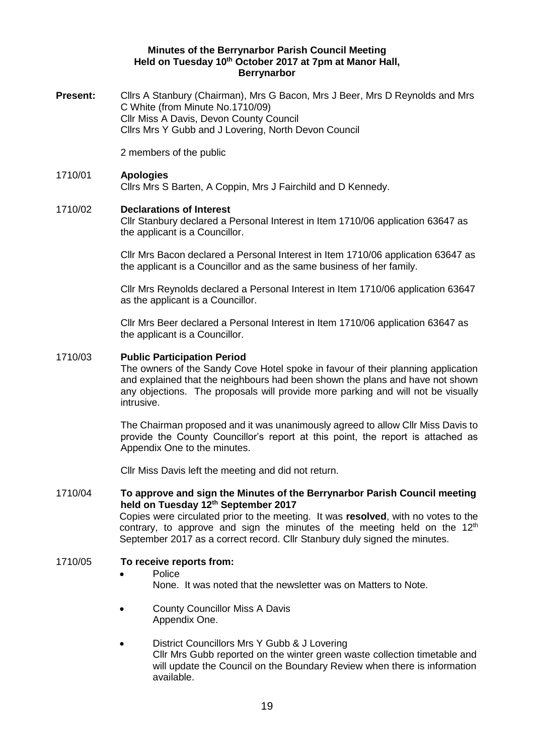#### **Minutes of the Berrynarbor Parish Council Meeting Held on Tuesday 10th October 2017 at 7pm at Manor Hall, Berrynarbor**

**Present:** Cllrs A Stanbury (Chairman), Mrs G Bacon, Mrs J Beer, Mrs D Reynolds and Mrs C White (from Minute No.1710/09) Cllr Miss A Davis, Devon County Council Cllrs Mrs Y Gubb and J Lovering, North Devon Council

2 members of the public

## 1710/01 **Apologies**  Cllrs Mrs S Barten, A Coppin, Mrs J Fairchild and D Kennedy.

#### 1710/02 **Declarations of Interest**

Cllr Stanbury declared a Personal Interest in Item 1710/06 application 63647 as the applicant is a Councillor.

Cllr Mrs Bacon declared a Personal Interest in Item 1710/06 application 63647 as the applicant is a Councillor and as the same business of her family.

Cllr Mrs Reynolds declared a Personal Interest in Item 1710/06 application 63647 as the applicant is a Councillor.

Cllr Mrs Beer declared a Personal Interest in Item 1710/06 application 63647 as the applicant is a Councillor.

#### 1710/03 **Public Participation Period**

The owners of the Sandy Cove Hotel spoke in favour of their planning application and explained that the neighbours had been shown the plans and have not shown any objections. The proposals will provide more parking and will not be visually intrusive.

The Chairman proposed and it was unanimously agreed to allow Cllr Miss Davis to provide the County Councillor's report at this point, the report is attached as Appendix One to the minutes.

Cllr Miss Davis left the meeting and did not return.

## 1710/04 **To approve and sign the Minutes of the Berrynarbor Parish Council meeting held on Tuesday 12th September 2017** Copies were circulated prior to the meeting. It was **resolved**, with no votes to the

contrary, to approve and sign the minutes of the meeting held on the  $12<sup>th</sup>$ September 2017 as a correct record. Cllr Stanbury duly signed the minutes.

#### 1710/05 **To receive reports from:**

#### Police

None. It was noted that the newsletter was on Matters to Note.

 County Councillor Miss A Davis Appendix One.

#### District Councillors Mrs Y Gubb & J Lovering

Cllr Mrs Gubb reported on the winter green waste collection timetable and will update the Council on the Boundary Review when there is information available.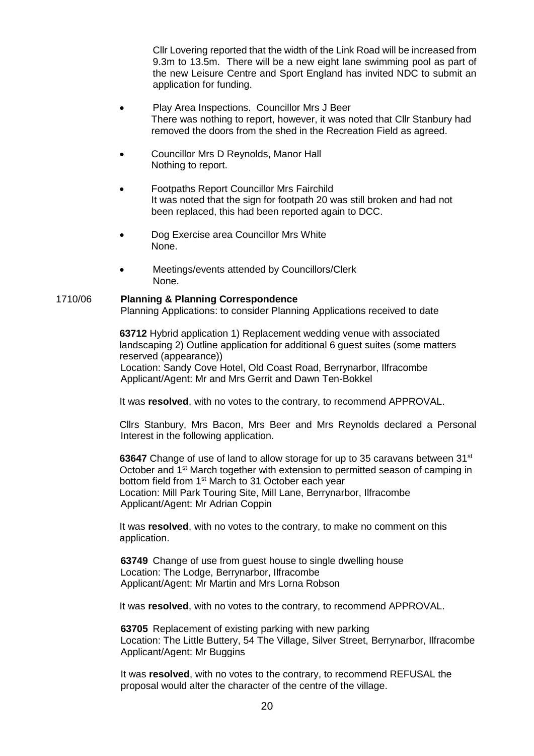Cllr Lovering reported that the width of the Link Road will be increased from 9.3m to 13.5m. There will be a new eight lane swimming pool as part of the new Leisure Centre and Sport England has invited NDC to submit an application for funding.

- Play Area Inspections. Councillor Mrs J Beer There was nothing to report, however, it was noted that Cllr Stanbury had removed the doors from the shed in the Recreation Field as agreed.
- Councillor Mrs D Reynolds, Manor Hall Nothing to report.
- Footpaths Report Councillor Mrs Fairchild It was noted that the sign for footpath 20 was still broken and had not been replaced, this had been reported again to DCC.
- Dog Exercise area Councillor Mrs White None.
- Meetings/events attended by Councillors/Clerk None.

#### 1710/06 **Planning & Planning Correspondence**

Planning Applications: to consider Planning Applications received to date

**63712** Hybrid application 1) Replacement wedding venue with associated landscaping 2) Outline application for additional 6 guest suites (some matters reserved (appearance))

Location: Sandy Cove Hotel, Old Coast Road, Berrynarbor, Ilfracombe Applicant/Agent: Mr and Mrs Gerrit and Dawn Ten-Bokkel

It was **resolved**, with no votes to the contrary, to recommend APPROVAL.

Cllrs Stanbury, Mrs Bacon, Mrs Beer and Mrs Reynolds declared a Personal Interest in the following application.

**63647** Change of use of land to allow storage for up to 35 caravans between 31<sup>st</sup> October and 1<sup>st</sup> March together with extension to permitted season of camping in bottom field from 1<sup>st</sup> March to 31 October each year Location: Mill Park Touring Site, Mill Lane, Berrynarbor, Ilfracombe Applicant/Agent: Mr Adrian Coppin

It was **resolved**, with no votes to the contrary, to make no comment on this application.

**63749** Change of use from guest house to single dwelling house Location: The Lodge, Berrynarbor, Ilfracombe Applicant/Agent: Mr Martin and Mrs Lorna Robson

It was **resolved**, with no votes to the contrary, to recommend APPROVAL.

**63705** Replacement of existing parking with new parking Location: The Little Buttery, 54 The Village, Silver Street, Berrynarbor, Ilfracombe Applicant/Agent: Mr Buggins

It was **resolved**, with no votes to the contrary, to recommend REFUSAL the proposal would alter the character of the centre of the village.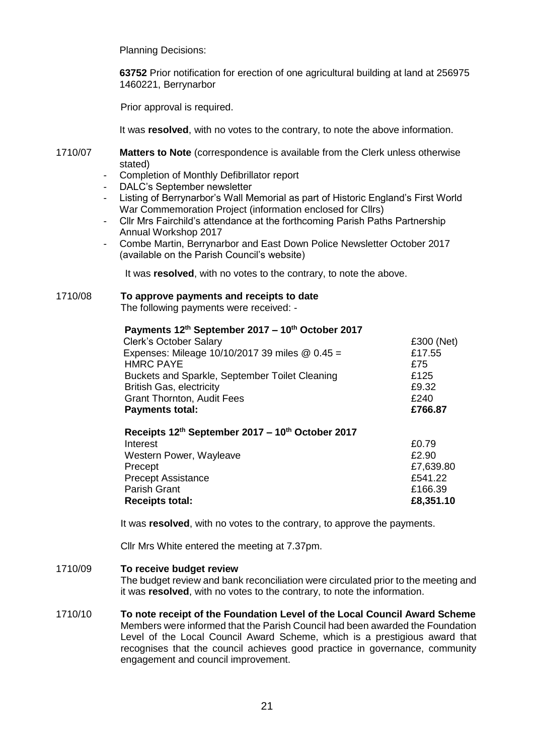Planning Decisions:

**63752** Prior notification for erection of one agricultural building at land at 256975 1460221, Berrynarbor

Prior approval is required.

It was **resolved**, with no votes to the contrary, to note the above information.

1710/07 **Matters to Note** (correspondence is available from the Clerk unless otherwise stated)

- Completion of Monthly Defibrillator report
- DALC's September newsletter
- Listing of Berrynarbor's Wall Memorial as part of Historic England's First World War Commemoration Project (information enclosed for Cllrs)
- Cllr Mrs Fairchild's attendance at the forthcoming Parish Paths Partnership Annual Workshop 2017
- Combe Martin, Berrynarbor and East Down Police Newsletter October 2017 (available on the Parish Council's website)

It was **resolved**, with no votes to the contrary, to note the above.

# 1710/08 **To approve payments and receipts to date**

The following payments were received: -

| Payments 12th September 2017 - 10th October 2017<br><b>Clerk's October Salary</b> | £300 (Net)    |
|-----------------------------------------------------------------------------------|---------------|
| Expenses: Mileage 10/10/2017 39 miles @ 0.45 =<br><b>HMRC PAYE</b>                | £17.55<br>£75 |
| Buckets and Sparkle, September Toilet Cleaning                                    | £125          |
| <b>British Gas, electricity</b>                                                   | £9.32         |
| <b>Grant Thornton, Audit Fees</b>                                                 | £240          |
| <b>Payments total:</b>                                                            | £766.87       |
| Receipts 12th September 2017 – 10th October 2017                                  |               |
| Interest                                                                          | £0.79         |
| Western Power, Wayleave                                                           | £2.90         |
| Precept                                                                           | £7,639.80     |
| <b>Precept Assistance</b>                                                         | £541.22       |
| <b>Parish Grant</b>                                                               | £166.39       |

**Receipts total: £8,351.10**

It was **resolved**, with no votes to the contrary, to approve the payments.

Cllr Mrs White entered the meeting at 7.37pm.

#### 1710/09 **To receive budget review**

The budget review and bank reconciliation were circulated prior to the meeting and it was **resolved**, with no votes to the contrary, to note the information.

1710/10 **To note receipt of the Foundation Level of the Local Council Award Scheme**  Members were informed that the Parish Council had been awarded the Foundation Level of the Local Council Award Scheme, which is a prestigious award that recognises that the council achieves good practice in governance, community engagement and council improvement.